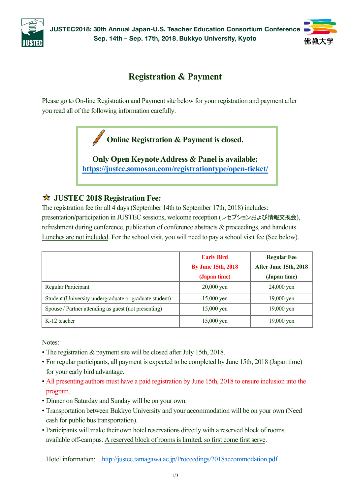

**JUSTEC2018: 30th Annual Japan-U.S. Teacher Education Consortium Conference Sep. 14th – Sep. 17th, 2018**, **Bukkyo University, Kyoto**



# **Registration & Payment**

Please go to On-line Registration and Payment site below for your registration and payment after you read all of the following information carefully.

**Online Registration & Payment is closed.**

**Only Open Keynote Address & Panel is available: https://justec.somosan.com/registrationtype/open-ticket/**

### **JUSTEC 2018 Registration Fee:**

The registration fee for all 4 days (September 14th to September 17th, 2018) includes: presentation/participation in JUSTEC sessions, welcome reception (レセプションおよび情報交換会), refreshment during conference, publication of conference abstracts & proceedings, and handouts. Lunches are not included. For the school visit, you will need to pay a school visit fee (See below).

|                                                        | <b>Early Bird</b>         | <b>Regular Fee</b>    |
|--------------------------------------------------------|---------------------------|-----------------------|
|                                                        | <b>By June 15th, 2018</b> | After June 15th, 2018 |
|                                                        | (Japan time)              | (Japan time)          |
| <b>Regular Participant</b>                             | $20,000$ yen              | 24,000 yen            |
| Student (University undergraduate or graduate student) | $15,000$ yen              | $19,000$ yen          |
| Spouse / Partner attending as guest (not presenting)   | $15,000$ yen              | $19,000$ yen          |
| K-12 teacher                                           | $15,000$ yen              | 19,000 yen            |

Notes:

- The registration & payment site will be closed after July 15th, 2018.
- For regular participants, all payment is expected to be completed by June 15th, 2018 (Japan time) for your early bird advantage.
- All presenting authors must have a paid registration by June 15th, 2018 to ensure inclusion into the program.
- Dinner on Saturday and Sunday will be on your own.
- Transportation between Bukkyo University and your accommodation will be on your own (Need cash for public bus transportation).
- Participants will make their own hotel reservations directly with a reserved block of rooms available off-campus. A reserved block of rooms is limited, so first come first serve.

Hotel information: http://justec.tamagawa.ac.jp/Proceedings/2018accommodation.pdf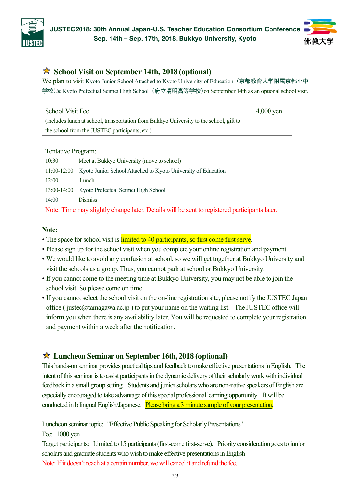



### **School Visit on September 14th, 2018 (optional)**

We plan to visit Kyoto Junior School Attached to Kyoto University of Education (京都教育大学附属京都小中 学校)& Kyoto Prefectual Seimei High School (府立清明高等学校)on September 14th as an optional school visit.

| School Visit Fee                                                                        | $4,000$ yen |
|-----------------------------------------------------------------------------------------|-------------|
| (includes lunch at school, transportation from Bukkyo University to the school, gift to |             |
| the school from the JUSTEC participants, etc.)                                          |             |

| Tentative Program:                                                                           |                                                               |  |  |
|----------------------------------------------------------------------------------------------|---------------------------------------------------------------|--|--|
| 10:30                                                                                        | Meet at Bukkyo University (move to school)                    |  |  |
| 11:00-12:00                                                                                  | Kyoto Junior School Attached to Kyoto University of Education |  |  |
| $12:00-$                                                                                     | Lunch                                                         |  |  |
|                                                                                              | 13:00-14:00 Kyoto Prefectual Seimei High School               |  |  |
| 14:00                                                                                        | <b>Dismiss</b>                                                |  |  |
| Note: Time may slightly change later. Details will be sent to registered participants later. |                                                               |  |  |

#### **Note:**

- The space for school visit is *limited to 40 participants*, so first come first serve.
- Please sign up for the school visit when you complete your online registration and payment.
- We would like to avoid any confusion at school, so we will get together at Bukkyo University and visit the schools as a group. Thus, you cannot park atschool or Bukkyo University.
- If you cannot come to the meeting time at Bukkyo University, you may not be able to join the school visit. So please come on time.
- If you cannot select the school visit on the on-line registration site, please notify the JUSTEC Japan office ( justec@tamagawa.ac.jp ) to put your name on the waiting list. The JUSTEC office will inform you when there is any availability later. You will be requested to complete your registration and payment within a week after the notification.

#### **Luncheon Seminar on September 16th, 2018 (optional)**

This hands-on seminar provides practical tips and feedback to make effective presentations in English. The intent of this seminar is to assist participants in the dynamic delivery of their scholarly work with individual feedback in a small group setting. Students and junior scholars who are non-native speakers of English are especially encouraged to take advantage of this special professional learning opportunity. It will be conducted in bilingual English/Japanese. Please bring a 3 minute sample of your presentation.

Luncheon seminar topic: "Effective Public Speaking for Scholarly Presentations"

Fee: 1000 yen

Target participants: Limited to 15 participants (first-come first-serve). Priority consideration goes to junior scholars and graduate students who wish to make effective presentations in English Note: If it doesn't reach at a certain number, we will cancel it and refund the fee.